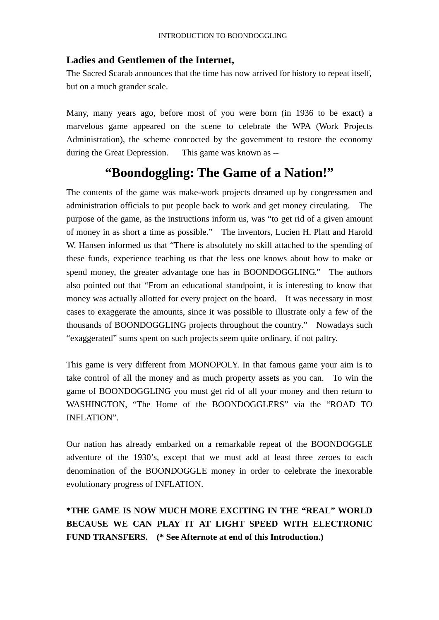## **Ladies and Gentlemen of the Internet,**

The Sacred Scarab announces that the time has now arrived for history to repeat itself, but on a much grander scale.

Many, many years ago, before most of you were born (in 1936 to be exact) a marvelous game appeared on the scene to celebrate the WPA (Work Projects Administration), the scheme concocted by the government to restore the economy during the Great Depression. This game was known as --

## **"Boondoggling: The Game of a Nation!"**

The contents of the game was make-work projects dreamed up by congressmen and administration officials to put people back to work and get money circulating. The purpose of the game, as the instructions inform us, was "to get rid of a given amount of money in as short a time as possible." The inventors, Lucien H. Platt and Harold W. Hansen informed us that "There is absolutely no skill attached to the spending of these funds, experience teaching us that the less one knows about how to make or spend money, the greater advantage one has in BOONDOGGLING." The authors also pointed out that "From an educational standpoint, it is interesting to know that money was actually allotted for every project on the board. It was necessary in most cases to exaggerate the amounts, since it was possible to illustrate only a few of the thousands of BOONDOGGLING projects throughout the country." Nowadays such "exaggerated" sums spent on such projects seem quite ordinary, if not paltry.

This game is very different from MONOPOLY. In that famous game your aim is to take control of all the money and as much property assets as you can. To win the game of BOONDOGGLING you must get rid of all your money and then return to WASHINGTON, "The Home of the BOONDOGGLERS" via the "ROAD TO INFLATION".

Our nation has already embarked on a remarkable repeat of the BOONDOGGLE adventure of the 1930's, except that we must add at least three zeroes to each denomination of the BOONDOGGLE money in order to celebrate the inexorable evolutionary progress of INFLATION.

## **\*THE GAME IS NOW MUCH MORE EXCITING IN THE "REAL" WORLD BECAUSE WE CAN PLAY IT AT LIGHT SPEED WITH ELECTRONIC FUND TRANSFERS. (\* See Afternote at end of this Introduction.)**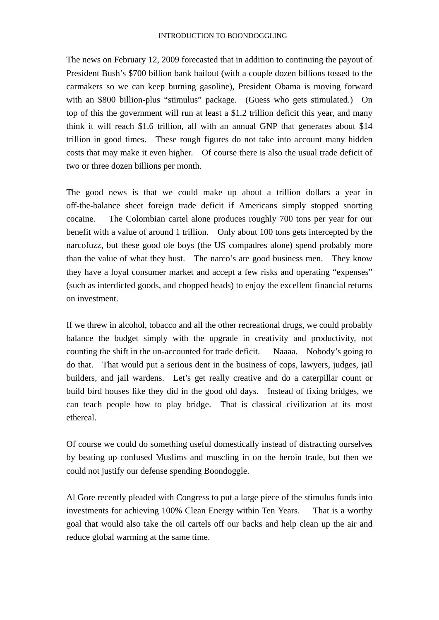The news on February 12, 2009 forecasted that in addition to continuing the payout of President Bush's \$700 billion bank bailout (with a couple dozen billions tossed to the carmakers so we can keep burning gasoline), President Obama is moving forward with an \$800 billion-plus "stimulus" package. (Guess who gets stimulated.) On top of this the government will run at least a \$1.2 trillion deficit this year, and many think it will reach \$1.6 trillion, all with an annual GNP that generates about \$14 trillion in good times. These rough figures do not take into account many hidden costs that may make it even higher. Of course there is also the usual trade deficit of two or three dozen billions per month.

The good news is that we could make up about a trillion dollars a year in off-the-balance sheet foreign trade deficit if Americans simply stopped snorting cocaine. The Colombian cartel alone produces roughly 700 tons per year for our benefit with a value of around 1 trillion. Only about 100 tons gets intercepted by the narcofuzz, but these good ole boys (the US compadres alone) spend probably more than the value of what they bust. The narco's are good business men. They know they have a loyal consumer market and accept a few risks and operating "expenses" (such as interdicted goods, and chopped heads) to enjoy the excellent financial returns on investment.

If we threw in alcohol, tobacco and all the other recreational drugs, we could probably balance the budget simply with the upgrade in creativity and productivity, not counting the shift in the un-accounted for trade deficit. Naaaa. Nobody's going to do that. That would put a serious dent in the business of cops, lawyers, judges, jail builders, and jail wardens. Let's get really creative and do a caterpillar count or build bird houses like they did in the good old days. Instead of fixing bridges, we can teach people how to play bridge. That is classical civilization at its most ethereal.

Of course we could do something useful domestically instead of distracting ourselves by beating up confused Muslims and muscling in on the heroin trade, but then we could not justify our defense spending Boondoggle.

Al Gore recently pleaded with Congress to put a large piece of the stimulus funds into investments for achieving 100% Clean Energy within Ten Years. That is a worthy goal that would also take the oil cartels off our backs and help clean up the air and reduce global warming at the same time.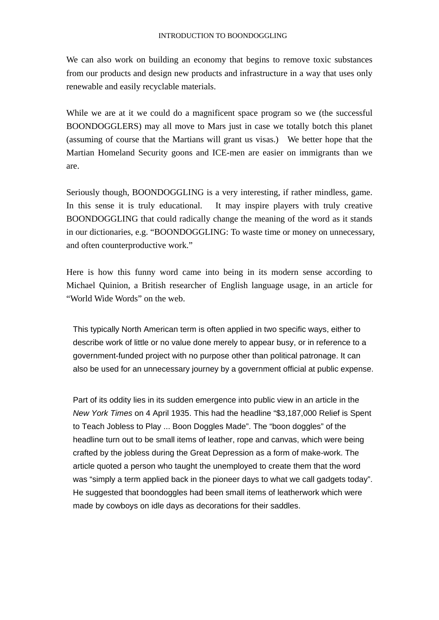We can also work on building an economy that begins to remove toxic substances from our products and design new products and infrastructure in a way that uses only renewable and easily recyclable materials.

While we are at it we could do a magnificent space program so we (the successful BOONDOGGLERS) may all move to Mars just in case we totally botch this planet (assuming of course that the Martians will grant us visas.) We better hope that the Martian Homeland Security goons and ICE-men are easier on immigrants than we are.

Seriously though, BOONDOGGLING is a very interesting, if rather mindless, game. In this sense it is truly educational. It may inspire players with truly creative BOONDOGGLING that could radically change the meaning of the word as it stands in our dictionaries, e.g. "BOONDOGGLING: To waste time or money on unnecessary, and often counterproductive work."

Here is how this funny word came into being in its modern sense according to Michael Quinion, a British researcher of English language usage, in an article for "World Wide Words" on the web.

This typically North American term is often applied in two specific ways, either to describe work of little or no value done merely to appear busy, or in reference to a government-funded project with no purpose other than political patronage. It can also be used for an unnecessary journey by a government official at public expense.

Part of its oddity lies in its sudden emergence into public view in an article in the *New York Times* on 4 April 1935. This had the headline "\$3,187,000 Relief is Spent to Teach Jobless to Play ... Boon Doggles Made". The "boon doggles" of the headline turn out to be small items of leather, rope and canvas, which were being crafted by the jobless during the Great Depression as a form of make-work. The article quoted a person who taught the unemployed to create them that the word was "simply a term applied back in the pioneer days to what we call gadgets today". He suggested that boondoggles had been small items of leatherwork which were made by cowboys on idle days as decorations for their saddles.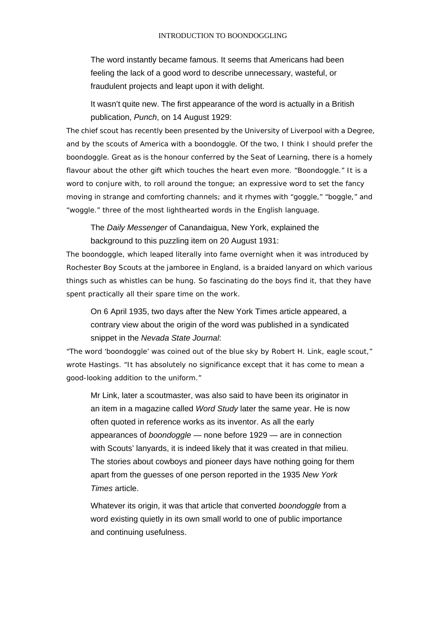The word instantly became famous. It seems that Americans had been feeling the lack of a good word to describe unnecessary, wasteful, or fraudulent projects and leapt upon it with delight.

It wasn't quite new. The first appearance of the word is actually in a British publication, *Punch*, on 14 August 1929:

The chief scout has recently been presented by the University of Liverpool with a Degree, and by the scouts of America with a boondoggle. Of the two, I think I should prefer the boondoggle. Great as is the honour conferred by the Seat of Learning, there is a homely flavour about the other gift which touches the heart even more. "Boondoggle." It is a word to conjure with, to roll around the tongue; an expressive word to set the fancy moving in strange and comforting channels; and it rhymes with "goggle," "boggle," and "woggle." three of the most lighthearted words in the English language.

The *Daily Messenger* of Canandaigua, New York, explained the background to this puzzling item on 20 August 1931:

The boondoggle, which leaped literally into fame overnight when it was introduced by Rochester Boy Scouts at the jamboree in England, is a braided lanyard on which various things such as whistles can be hung. So fascinating do the boys find it, that they have spent practically all their spare time on the work.

On 6 April 1935, two days after the New York Times article appeared, a contrary view about the origin of the word was published in a syndicated snippet in the *Nevada State Journal*:

"The word 'boondoggle' was coined out of the blue sky by Robert H. Link, eagle scout," wrote Hastings. "It has absolutely no significance except that it has come to mean a good-looking addition to the uniform."

Mr Link, later a scoutmaster, was also said to have been its originator in an item in a magazine called *Word Study* later the same year. He is now often quoted in reference works as its inventor. As all the early appearances of *boondoggle* — none before 1929 — are in connection with Scouts' lanyards, it is indeed likely that it was created in that milieu. The stories about cowboys and pioneer days have nothing going for them apart from the guesses of one person reported in the 1935 *New York Times* article.

Whatever its origin, it was that article that converted *boondoggle* from a word existing quietly in its own small world to one of public importance and continuing usefulness.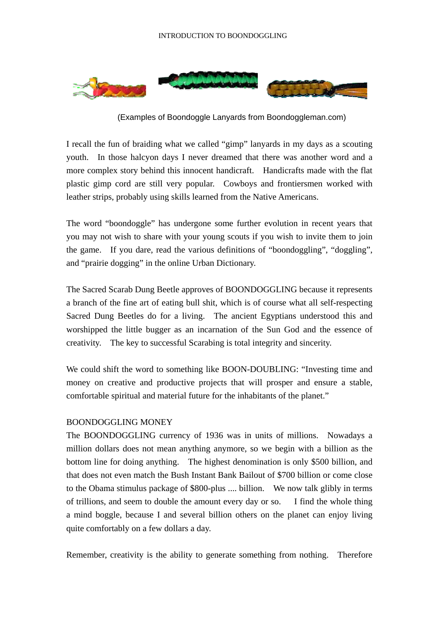

(Examples of Boondoggle Lanyards from Boondoggleman.com)

I recall the fun of braiding what we called "gimp" lanyards in my days as a scouting youth. In those halcyon days I never dreamed that there was another word and a more complex story behind this innocent handicraft. Handicrafts made with the flat plastic gimp cord are still very popular. Cowboys and frontiersmen worked with leather strips, probably using skills learned from the Native Americans.

The word "boondoggle" has undergone some further evolution in recent years that you may not wish to share with your young scouts if you wish to invite them to join the game. If you dare, read the various definitions of "boondoggling", "doggling", and "prairie dogging" in the online Urban Dictionary.

The Sacred Scarab Dung Beetle approves of BOONDOGGLING because it represents a branch of the fine art of eating bull shit, which is of course what all self-respecting Sacred Dung Beetles do for a living. The ancient Egyptians understood this and worshipped the little bugger as an incarnation of the Sun God and the essence of creativity. The key to successful Scarabing is total integrity and sincerity.

We could shift the word to something like BOON-DOUBLING: "Investing time and money on creative and productive projects that will prosper and ensure a stable, comfortable spiritual and material future for the inhabitants of the planet."

## BOONDOGGLING MONEY

The BOONDOGGLING currency of 1936 was in units of millions. Nowadays a million dollars does not mean anything anymore, so we begin with a billion as the bottom line for doing anything. The highest denomination is only \$500 billion, and that does not even match the Bush Instant Bank Bailout of \$700 billion or come close to the Obama stimulus package of \$800-plus .... billion. We now talk glibly in terms of trillions, and seem to double the amount every day or so. I find the whole thing a mind boggle, because I and several billion others on the planet can enjoy living quite comfortably on a few dollars a day.

Remember, creativity is the ability to generate something from nothing. Therefore